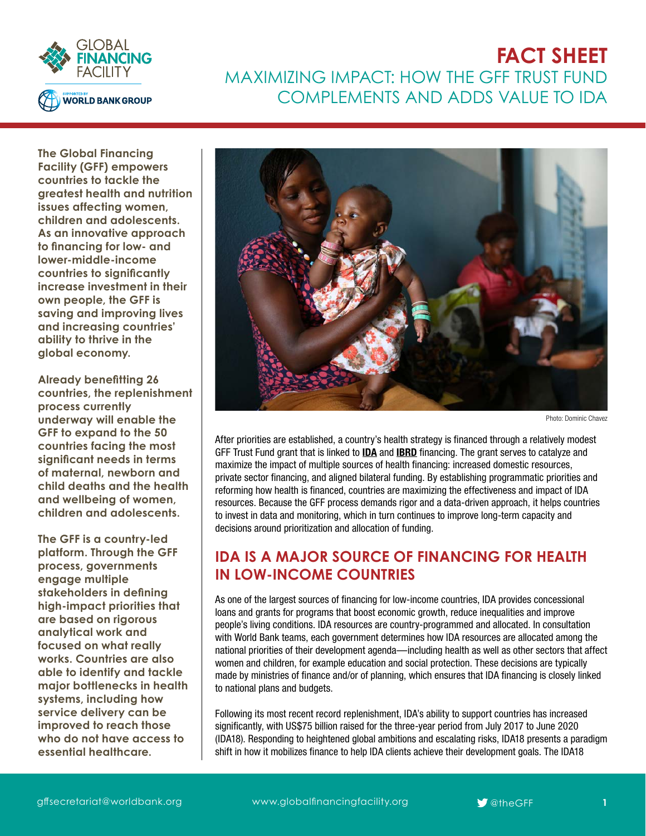

# **FACT SHEET** MAXIMIZING IMPACT: HOW THE GFF TRUST FUND COMPLEMENTS AND ADDS VALUE TO IDA

**The [Global Financing](https://www.globalfinancingfacility.org/node )  [Facility \(GFF\)](https://www.globalfinancingfacility.org/node ) empowers countries to tackle the greatest health and nutrition issues affecting women, children and adolescents. As an innovative approach to financing for low- and lower-middle-income countries to significantly increase investment in their own people, the GFF is saving and improving lives and increasing countries' ability to thrive in the global economy.** 

**Already benefitting 26 countries, the replenishment process currently underway will enable the GFF to expand to the 50 countries facing the most significant needs in terms of maternal, newborn and child deaths and the health and wellbeing of women, children and adolescents.**

**The GFF is a country-led platform. Through the GFF process, governments engage multiple stakeholders in defining high-impact priorities that are based on rigorous analytical work and focused on what really works. Countries are also able to identify and tackle major bottlenecks in health systems, including how service delivery can be improved to reach those who do not have access to essential healthcare.**



Photo: Dominic Chavez

After priorities are established, a country's health strategy is financed through a relatively modest GFF Trust Fund grant that is linked to **[IDA](http://ida.worldbank.org/)** and **[IBRD](http://www.worldbank.org/en/who-we-are/ibrd)** financing. The grant serves to catalyze and maximize the impact of multiple sources of health financing: increased domestic resources, private sector financing, and aligned bilateral funding. By establishing programmatic priorities and reforming how health is financed, countries are maximizing the effectiveness and impact of IDA resources. Because the GFF process demands rigor and a data-driven approach, it helps countries to invest in data and monitoring, which in turn continues to improve long-term capacity and decisions around prioritization and allocation of funding.

## **IDA IS A MAJOR SOURCE OF FINANCING FOR HEALTH IN LOW-INCOME COUNTRIES**

As one of the largest sources of financing for low-income countries, IDA provides concessional loans and grants for programs that boost economic growth, reduce inequalities and improve people's living conditions. IDA resources are country-programmed and allocated. In consultation with World Bank teams, each government determines how IDA resources are allocated among the national priorities of their development agenda—including health as well as other sectors that affect women and children, for example education and social protection. These decisions are typically made by ministries of finance and/or of planning, which ensures that IDA financing is closely linked to national plans and budgets.

Following its most recent record replenishment, IDA's ability to support countries has increased significantly, with US\$75 billion raised for the three-year period from July 2017 to June 2020 (IDA18). Responding to heightened global ambitions and escalating risks, IDA18 presents a paradigm shift in how it mobilizes finance to help IDA clients achieve their development goals. The IDA18

[gffsecretariat@worldbank.org](mailto:gffsecretariat%40worldbank.org?subject=) www.globalfinancingfacility.org **9**<sup>0</sup> [@theGFF](https://twitter.com/search?q=%40theGFF&src=typd)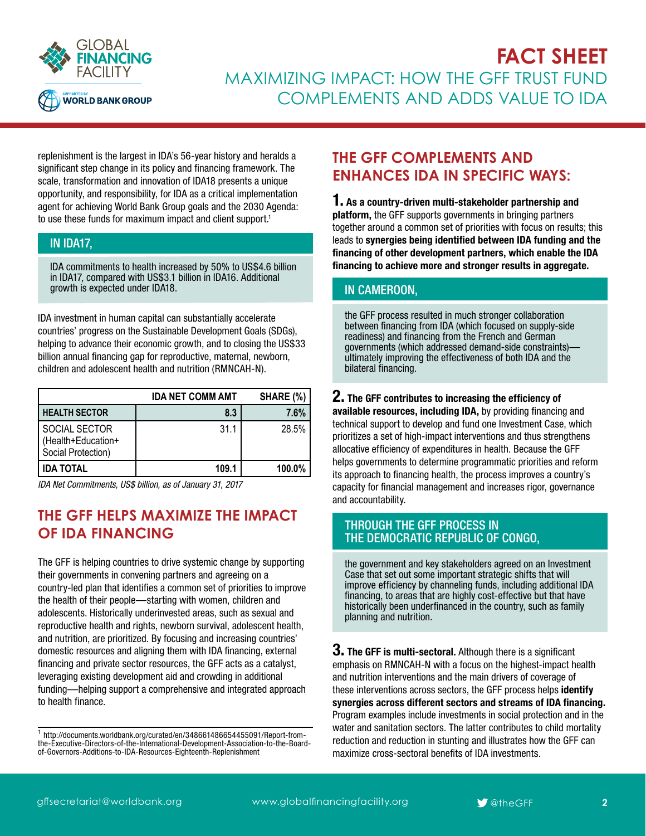

# **FACT SHEET** MAXIMIZING IMPACT: HOW THE GFF TRUST FUND COMPLEMENTS AND ADDS VALUE TO IDA

replenishment is the largest in IDA's 56-year history and heralds a significant step change in its policy and financing framework. The scale, transformation and innovation of IDA18 presents a unique opportunity, and responsibility, for IDA as a critical implementation agent for achieving World Bank Group goals and the 2030 Agenda: to use these funds for maximum impact and client support.<sup>1</sup>

### IN IDA17,

IDA commitments to health increased by 50% to US\$4.6 billion in IDA17, compared with US\$3.1 billion in IDA16. Additional growth is expected under IDA18.

IDA investment in human capital can substantially accelerate countries' progress on the Sustainable Development Goals (SDGs), helping to advance their economic growth, and to closing the US\$33 billion annual financing gap for reproductive, maternal, newborn, children and adolescent health and nutrition (RMNCAH-N).

|                                                           | <b>IDA NET COMM AMT</b> | SHARE (%) |
|-----------------------------------------------------------|-------------------------|-----------|
| <b>HEALTH SECTOR</b>                                      | 8.3                     | 7.6%      |
| SOCIAL SECTOR<br>(Health+Education+<br>Social Protection) | 31.1                    | 28.5%     |
| <b>IDA TOTAL</b>                                          | 109.1                   | 100.0%    |

*IDA Net Commitments, US\$ billion, as of January 31, 2017*

## **THE GFF HELPS MAXIMIZE THE IMPACT OF IDA FINANCING**

The GFF is helping countries to drive systemic change by supporting their governments in convening partners and agreeing on a country-led plan that identifies a common set of priorities to improve the health of their people—starting with women, children and adolescents. Historically underinvested areas, such as sexual and reproductive health and rights, newborn survival, adolescent health, and nutrition, are prioritized. By focusing and increasing countries' domestic resources and aligning them with IDA financing, external financing and private sector resources, the GFF acts as a catalyst, leveraging existing development aid and crowding in additional funding—helping support a comprehensive and integrated approach to health finance.

## **THE GFF COMPLEMENTS AND ENHANCES IDA IN SPECIFIC WAYS:**

1. As a country-driven multi-stakeholder partnership and platform, the GFF supports governments in bringing partners together around a common set of priorities with focus on results; this leads to synergies being identified between IDA funding and the financing of other development partners, which enable the IDA financing to achieve more and stronger results in aggregate.

### IN CAMEROON,

the GFF process resulted in much stronger collaboration between financing from IDA (which focused on supply-side readiness) and financing from the French and German governments (which addressed demand-side constraints) ultimately improving the effectiveness of both IDA and the bilateral financing.

### 2. The GFF contributes to increasing the efficiency of

available resources, including IDA, by providing financing and technical support to develop and fund one Investment Case, which prioritizes a set of high-impact interventions and thus strengthens allocative efficiency of expenditures in health. Because the GFF helps governments to determine programmatic priorities and reform its approach to financing health, the process improves a country's capacity for financial management and increases rigor, governance and accountability.

#### THROUGH THE GFF PROCESS IN THE DEMOCRATIC REPUBLIC OF CONGO,

the government and key stakeholders agreed on an Investment Case that set out some important strategic shifts that will improve efficiency by channeling funds, including additional IDA financing, to areas that are highly cost-effective but that have historically been underfinanced in the country, such as family planning and nutrition.

 $3.$  The GFF is multi-sectoral. Although there is a significant emphasis on RMNCAH-N with a focus on the highest-impact health and nutrition interventions and the main drivers of coverage of these interventions across sectors, the GFF process helps identify synergies across different sectors and streams of IDA financing. Program examples include investments in social protection and in the water and sanitation sectors. The latter contributes to child mortality reduction and reduction in stunting and illustrates how the GFF can maximize cross-sectoral benefits of IDA investments.

<sup>1</sup> [http://documents.worldbank.org/curated/en/348661486654455091/Report-from](http://documents.worldbank.org/curated/en/348661486654455091/Report-from-the-Executive-Directors-of-the-International-Development-Association-to-the-Board-of-Governors-Additions-to-IDA-Resources-Eighteenth-Replenishment)[the-Executive-Directors-of-the-International-Development-Association-to-the-Board](http://documents.worldbank.org/curated/en/348661486654455091/Report-from-the-Executive-Directors-of-the-International-Development-Association-to-the-Board-of-Governors-Additions-to-IDA-Resources-Eighteenth-Replenishment)[of-Governors-Additions-to-IDA-Resources-Eighteenth-Replenishment](http://documents.worldbank.org/curated/en/348661486654455091/Report-from-the-Executive-Directors-of-the-International-Development-Association-to-the-Board-of-Governors-Additions-to-IDA-Resources-Eighteenth-Replenishment)